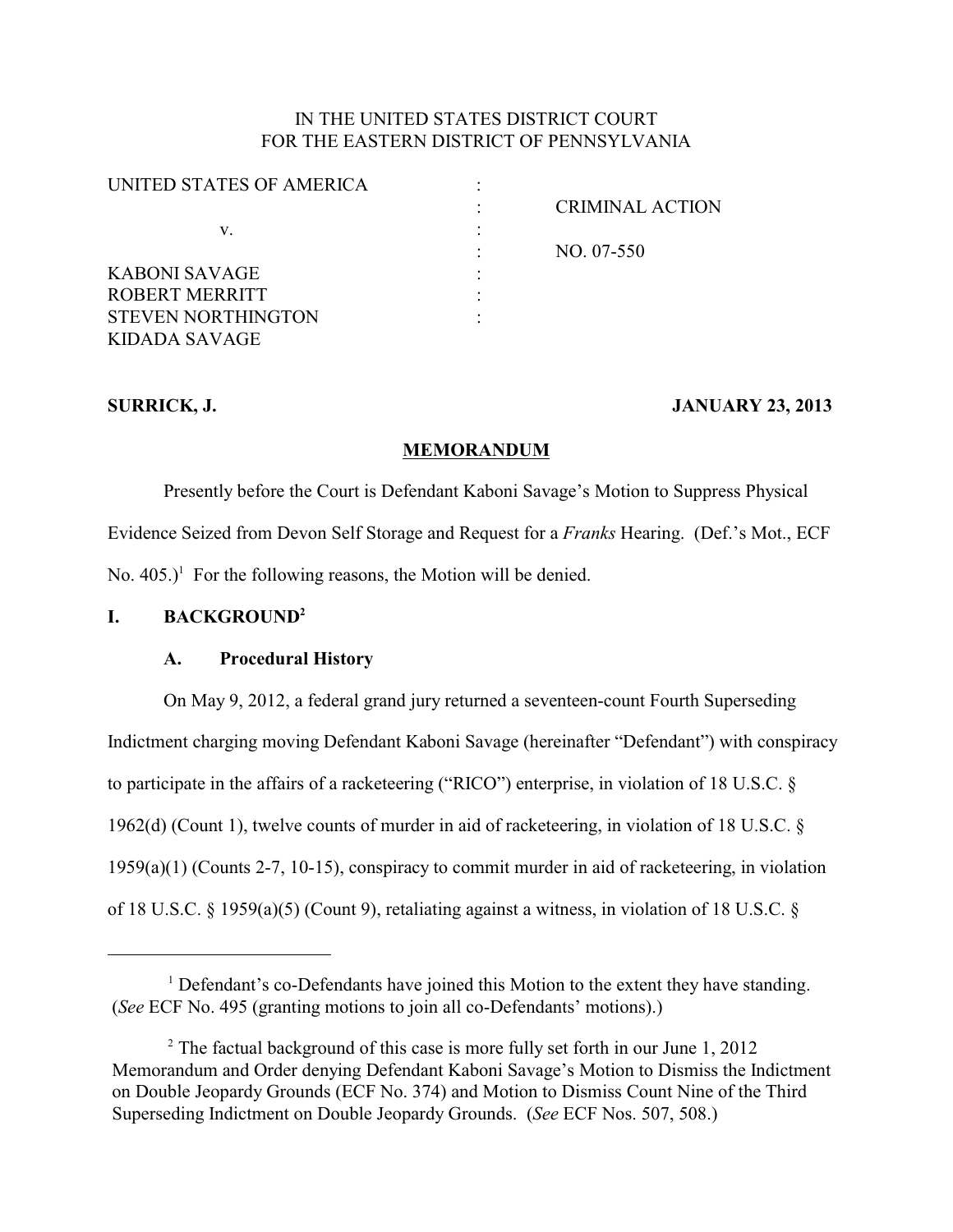# IN THE UNITED STATES DISTRICT COURT FOR THE EASTERN DISTRICT OF PENNSYLVANIA

| UNITED STATES OF AMERICA  |                        |
|---------------------------|------------------------|
|                           | <b>CRIMINAL ACTION</b> |
| v.                        |                        |
|                           | NO. 07-550             |
| KABONI SAVAGE             |                        |
| ROBERT MERRITT            |                        |
| <b>STEVEN NORTHINGTON</b> |                        |
| KIDADA SAVAGE             |                        |

# **SURRICK, J. JANUARY 23, 2013**

# **MEMORANDUM**

Presently before the Court is Defendant Kaboni Savage's Motion to Suppress Physical Evidence Seized from Devon Self Storage and Request for a *Franks* Hearing. (Def.'s Mot., ECF No.  $405.$ <sup> $\text{I}$ </sup> For the following reasons, the Motion will be denied.

# **I. BACKGROUND<sup>2</sup>**

# **A. Procedural History**

On May 9, 2012, a federal grand jury returned a seventeen-count Fourth Superseding Indictment charging moving Defendant Kaboni Savage (hereinafter "Defendant") with conspiracy to participate in the affairs of a racketeering ("RICO") enterprise, in violation of 18 U.S.C. § 1962(d) (Count 1), twelve counts of murder in aid of racketeering, in violation of 18 U.S.C. § 1959(a)(1) (Counts 2-7, 10-15), conspiracy to commit murder in aid of racketeering, in violation of 18 U.S.C. § 1959(a)(5) (Count 9), retaliating against a witness, in violation of 18 U.S.C. §

<sup>&</sup>lt;sup>1</sup> Defendant's co-Defendants have joined this Motion to the extent they have standing. (*See* ECF No. 495 (granting motions to join all co-Defendants' motions).)

<sup>&</sup>lt;sup>2</sup> The factual background of this case is more fully set forth in our June 1, 2012 Memorandum and Order denying Defendant Kaboni Savage's Motion to Dismiss the Indictment on Double Jeopardy Grounds (ECF No. 374) and Motion to Dismiss Count Nine of the Third Superseding Indictment on Double Jeopardy Grounds. (*See* ECF Nos. 507, 508.)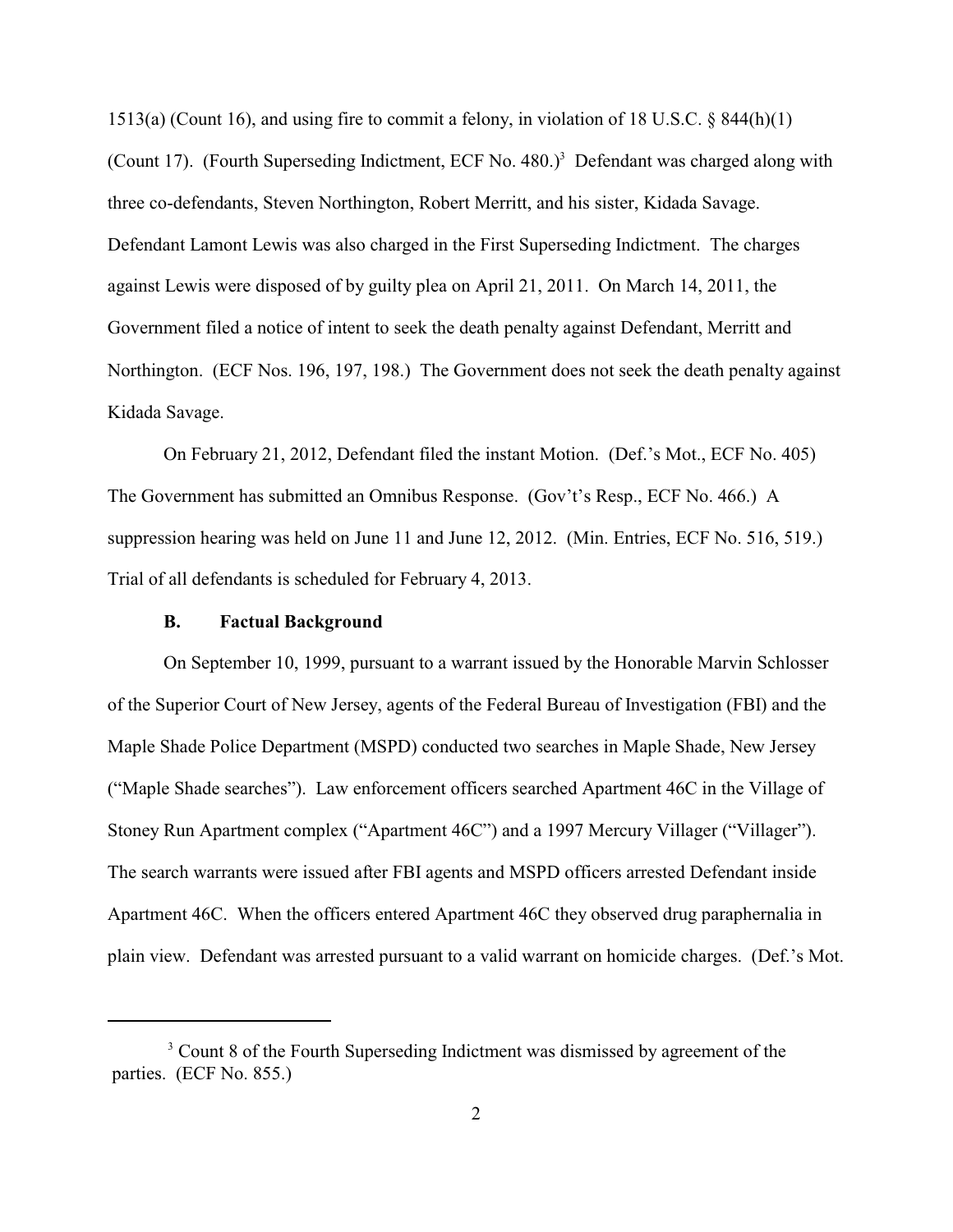1513(a) (Count 16), and using fire to commit a felony, in violation of 18 U.S.C. § 844(h)(1) (Count 17). (Fourth Superseding Indictment, ECF No. 480.)<sup>3</sup> Defendant was charged along with three co-defendants, Steven Northington, Robert Merritt, and his sister, Kidada Savage. Defendant Lamont Lewis was also charged in the First Superseding Indictment. The charges against Lewis were disposed of by guilty plea on April 21, 2011. On March 14, 2011, the Government filed a notice of intent to seek the death penalty against Defendant, Merritt and Northington. (ECF Nos. 196, 197, 198.) The Government does not seek the death penalty against Kidada Savage.

On February 21, 2012, Defendant filed the instant Motion. (Def.'s Mot., ECF No. 405) The Government has submitted an Omnibus Response. (Gov't's Resp., ECF No. 466.) A suppression hearing was held on June 11 and June 12, 2012. (Min. Entries, ECF No. 516, 519.) Trial of all defendants is scheduled for February 4, 2013.

## **B. Factual Background**

On September 10, 1999, pursuant to a warrant issued by the Honorable Marvin Schlosser of the Superior Court of New Jersey, agents of the Federal Bureau of Investigation (FBI) and the Maple Shade Police Department (MSPD) conducted two searches in Maple Shade, New Jersey ("Maple Shade searches"). Law enforcement officers searched Apartment 46C in the Village of Stoney Run Apartment complex ("Apartment 46C") and a 1997 Mercury Villager ("Villager"). The search warrants were issued after FBI agents and MSPD officers arrested Defendant inside Apartment 46C. When the officers entered Apartment 46C they observed drug paraphernalia in plain view. Defendant was arrested pursuant to a valid warrant on homicide charges. (Def.'s Mot.

<sup>&</sup>lt;sup>3</sup> Count 8 of the Fourth Superseding Indictment was dismissed by agreement of the parties. (ECF No. 855.)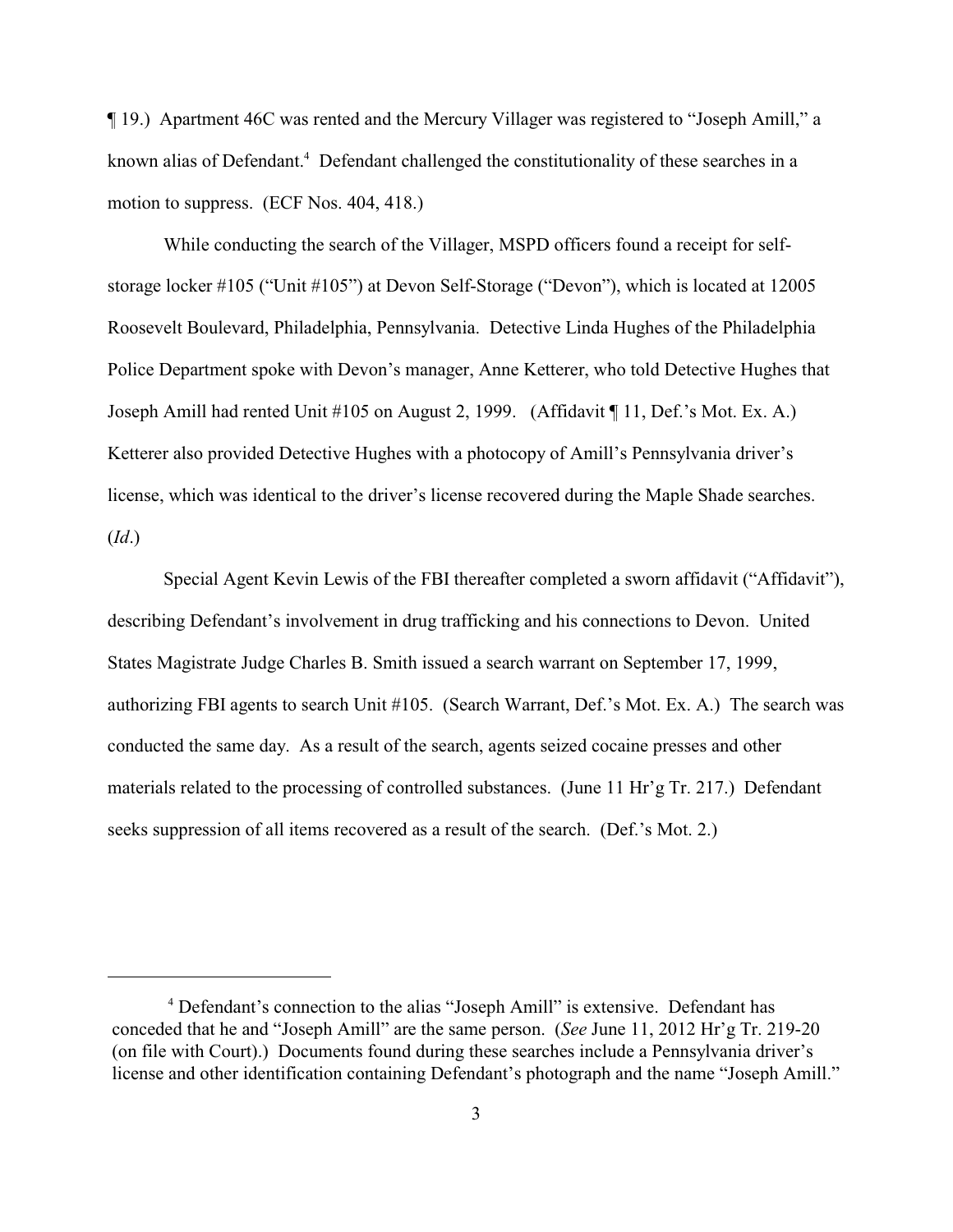¶ 19.) Apartment 46C was rented and the Mercury Villager was registered to "Joseph Amill," a known alias of Defendant.<sup>4</sup> Defendant challenged the constitutionality of these searches in a motion to suppress. (ECF Nos. 404, 418.)

While conducting the search of the Villager, MSPD officers found a receipt for selfstorage locker #105 ("Unit #105") at Devon Self-Storage ("Devon"), which is located at 12005 Roosevelt Boulevard, Philadelphia, Pennsylvania. Detective Linda Hughes of the Philadelphia Police Department spoke with Devon's manager, Anne Ketterer, who told Detective Hughes that Joseph Amill had rented Unit #105 on August 2, 1999. (Affidavit ¶ 11, Def.'s Mot. Ex. A.) Ketterer also provided Detective Hughes with a photocopy of Amill's Pennsylvania driver's license, which was identical to the driver's license recovered during the Maple Shade searches. (*Id*.)

Special Agent Kevin Lewis of the FBI thereafter completed a sworn affidavit ("Affidavit"), describing Defendant's involvement in drug trafficking and his connections to Devon. United States Magistrate Judge Charles B. Smith issued a search warrant on September 17, 1999, authorizing FBI agents to search Unit #105. (Search Warrant, Def.'s Mot. Ex. A.) The search was conducted the same day. As a result of the search, agents seized cocaine presses and other materials related to the processing of controlled substances. (June 11 Hr'g Tr. 217.) Defendant seeks suppression of all items recovered as a result of the search. (Def.'s Mot. 2.)

<sup>&</sup>lt;sup>4</sup> Defendant's connection to the alias "Joseph Amill" is extensive. Defendant has conceded that he and "Joseph Amill" are the same person. (*See* June 11, 2012 Hr'g Tr. 219-20 (on file with Court).) Documents found during these searches include a Pennsylvania driver's license and other identification containing Defendant's photograph and the name "Joseph Amill."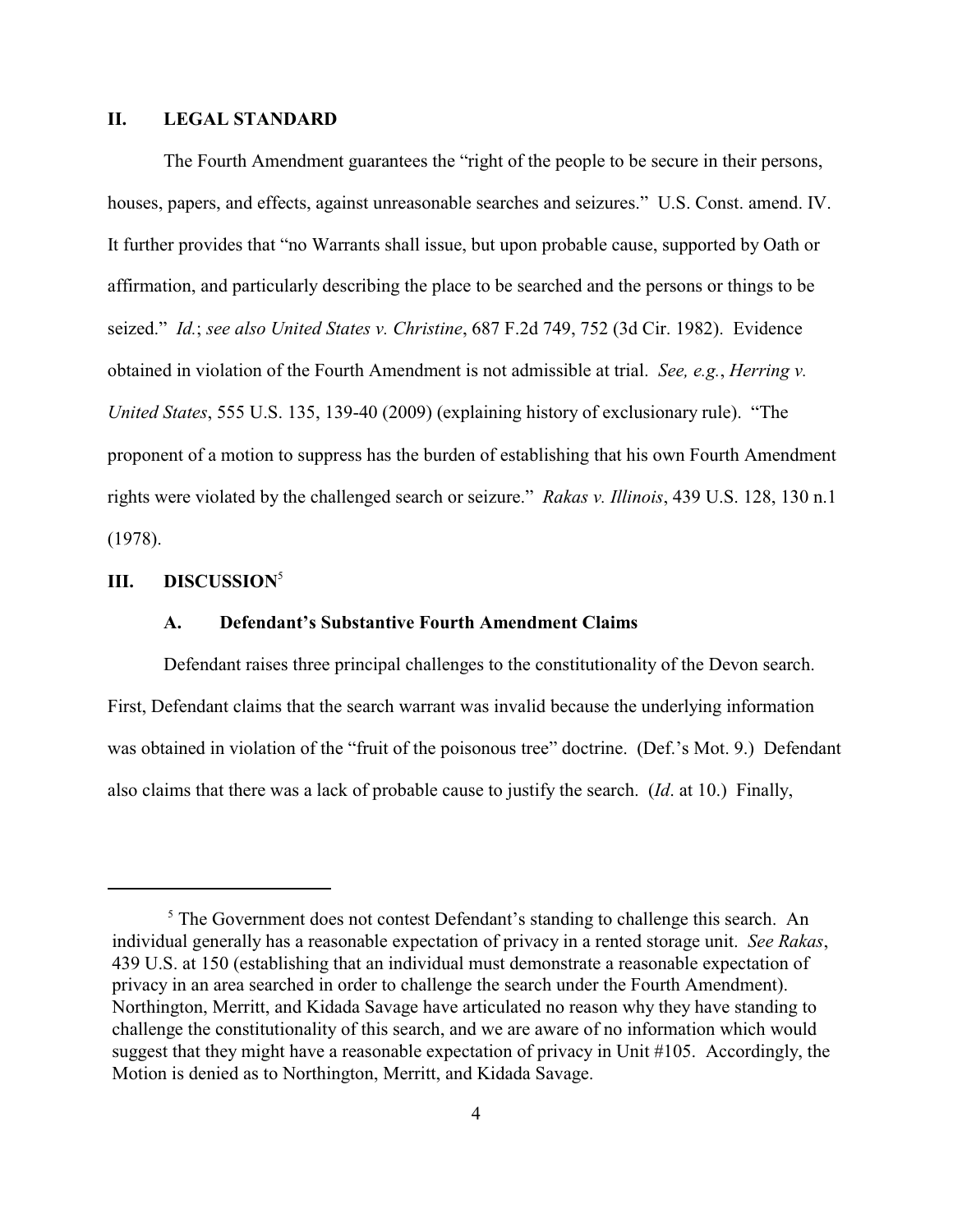# **II. LEGAL STANDARD**

The Fourth Amendment guarantees the "right of the people to be secure in their persons, houses, papers, and effects, against unreasonable searches and seizures." U.S. Const. amend. IV. It further provides that "no Warrants shall issue, but upon probable cause, supported by Oath or affirmation, and particularly describing the place to be searched and the persons or things to be seized." *Id.*; *see also United States v. Christine*, 687 F.2d 749, 752 (3d Cir. 1982).Evidence obtained in violation of the Fourth Amendment is not admissible at trial. *See, e.g.*, *Herring v. United States*, 555 U.S. 135, 139-40 (2009) (explaining history of exclusionary rule)."The proponent of a motion to suppress has the burden of establishing that his own Fourth Amendment rights were violated by the challenged search or seizure." *Rakas v. Illinois*, 439 U.S. 128, 130 n.1 (1978).

# **III. DISCUSSION** 5

## **A. Defendant's Substantive Fourth Amendment Claims**

Defendant raises three principal challenges to the constitutionality of the Devon search. First, Defendant claims that the search warrant was invalid because the underlying information was obtained in violation of the "fruit of the poisonous tree" doctrine. (Def.'s Mot. 9.) Defendant also claims that there was a lack of probable cause to justify the search. (*Id*. at 10.) Finally,

 $5$  The Government does not contest Defendant's standing to challenge this search. An individual generally has a reasonable expectation of privacy in a rented storage unit. *See Rakas*, 439 U.S. at 150 (establishing that an individual must demonstrate a reasonable expectation of privacy in an area searched in order to challenge the search under the Fourth Amendment). Northington, Merritt, and Kidada Savage have articulated no reason why they have standing to challenge the constitutionality of this search, and we are aware of no information which would suggest that they might have a reasonable expectation of privacy in Unit #105. Accordingly, the Motion is denied as to Northington, Merritt, and Kidada Savage.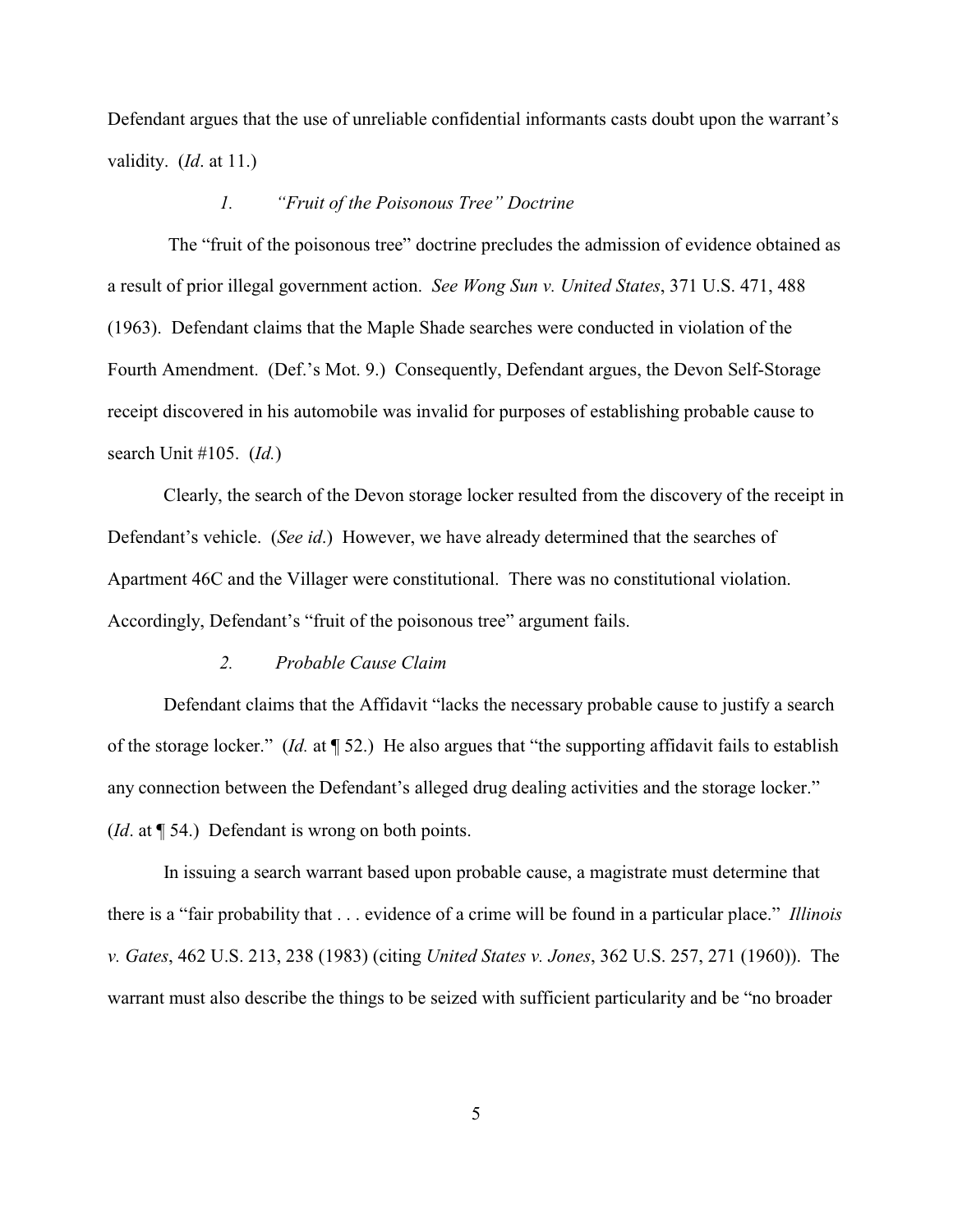Defendant argues that the use of unreliable confidential informants casts doubt upon the warrant's validity. (*Id*. at 11.)

### *1. "Fruit of the Poisonous Tree" Doctrine*

 The "fruit of the poisonous tree" doctrine precludes the admission of evidence obtained as a result of prior illegal government action. *See Wong Sun v. United States*, 371 U.S. 471, 488 (1963). Defendant claims that the Maple Shade searches were conducted in violation of the Fourth Amendment. (Def.'s Mot. 9.) Consequently, Defendant argues, the Devon Self-Storage receipt discovered in his automobile was invalid for purposes of establishing probable cause to search Unit #105. (*Id.*)

Clearly, the search of the Devon storage locker resulted from the discovery of the receipt in Defendant's vehicle. (*See id*.) However, we have already determined that the searches of Apartment 46C and the Villager were constitutional. There was no constitutional violation. Accordingly, Defendant's "fruit of the poisonous tree" argument fails.

#### *2. Probable Cause Claim*

Defendant claims that the Affidavit "lacks the necessary probable cause to justify a search of the storage locker." (*Id.* at ¶ 52.) He also argues that "the supporting affidavit fails to establish any connection between the Defendant's alleged drug dealing activities and the storage locker." (*Id*. at ¶ 54.)Defendant is wrong on both points.

In issuing a search warrant based upon probable cause, a magistrate must determine that there is a "fair probability that . . . evidence of a crime will be found in a particular place." *Illinois v. Gates*, 462 U.S. 213, 238 (1983) (citing *United States v. Jones*, 362 U.S. 257, 271 (1960)). The warrant must also describe the things to be seized with sufficient particularity and be "no broader

5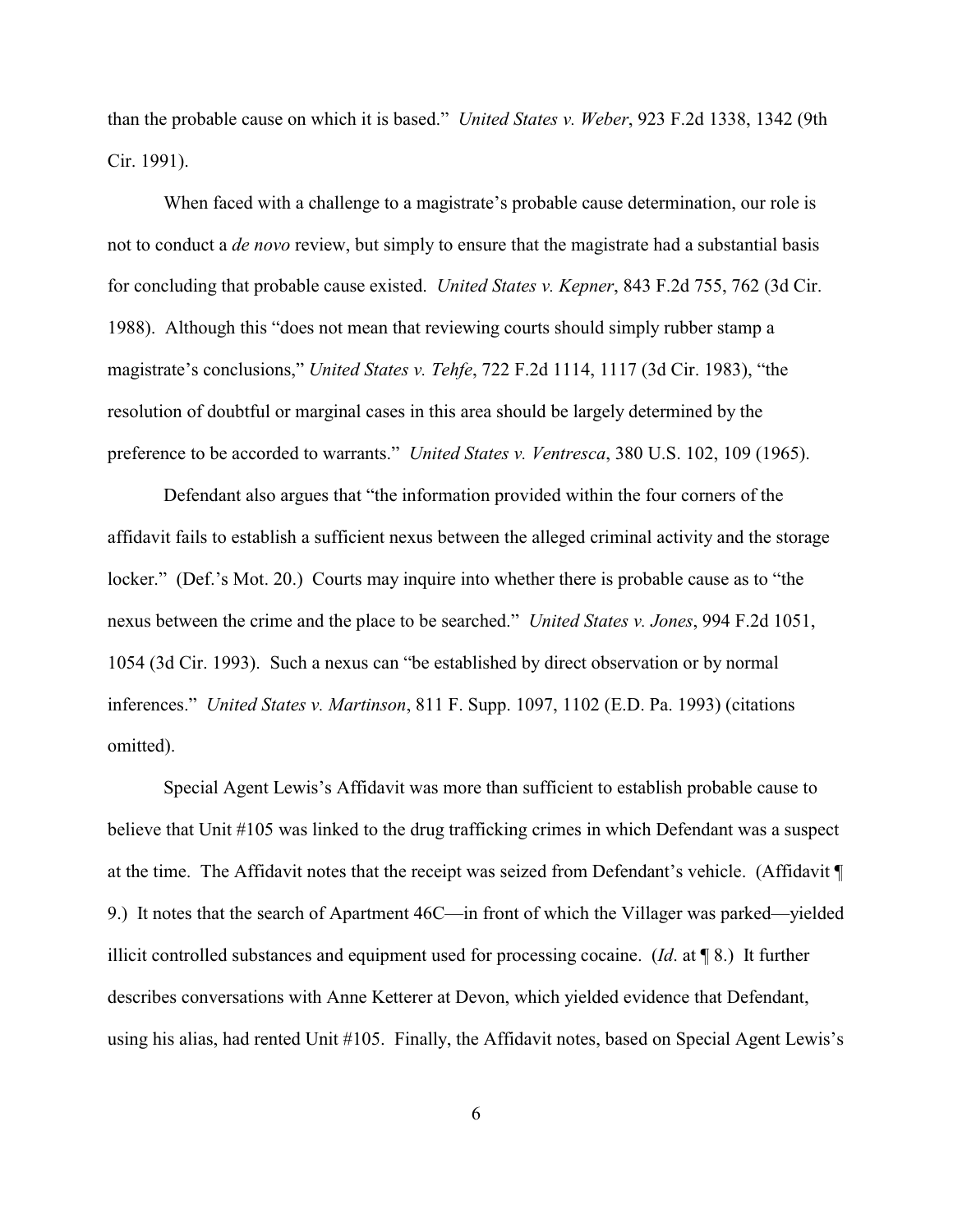than the probable cause on which it is based." *United States v. Weber*, 923 F.2d 1338, 1342 (9th Cir. 1991).

When faced with a challenge to a magistrate's probable cause determination, our role is not to conduct a *de novo* review, but simply to ensure that the magistrate had a substantial basis for concluding that probable cause existed. *United States v. Kepner*, 843 F.2d 755, 762 (3d Cir. 1988). Although this "does not mean that reviewing courts should simply rubber stamp a magistrate's conclusions," *United States v. Tehfe*, 722 F.2d 1114, 1117 (3d Cir. 1983), "the resolution of doubtful or marginal cases in this area should be largely determined by the preference to be accorded to warrants." *United States v. Ventresca*, 380 U.S. 102, 109 (1965).

Defendant also argues that "the information provided within the four corners of the affidavit fails to establish a sufficient nexus between the alleged criminal activity and the storage locker." (Def.'s Mot. 20.) Courts may inquire into whether there is probable cause as to "the nexus between the crime and the place to be searched." *United States v. Jones*, 994 F.2d 1051, 1054 (3d Cir. 1993). Such a nexus can "be established by direct observation or by normal inferences." *United States v. Martinson*, 811 F. Supp. 1097, 1102 (E.D. Pa. 1993) (citations omitted).

Special Agent Lewis's Affidavit was more than sufficient to establish probable cause to believe that Unit #105 was linked to the drug trafficking crimes in which Defendant was a suspect at the time. The Affidavit notes that the receipt was seized from Defendant's vehicle. (Affidavit ¶ 9.) It notes that the search of Apartment 46C—in front of which the Villager was parked—yielded illicit controlled substances and equipment used for processing cocaine. (*Id*. at ¶ 8.) It further describes conversations with Anne Ketterer at Devon, which yielded evidence that Defendant, using his alias, had rented Unit #105. Finally, the Affidavit notes, based on Special Agent Lewis's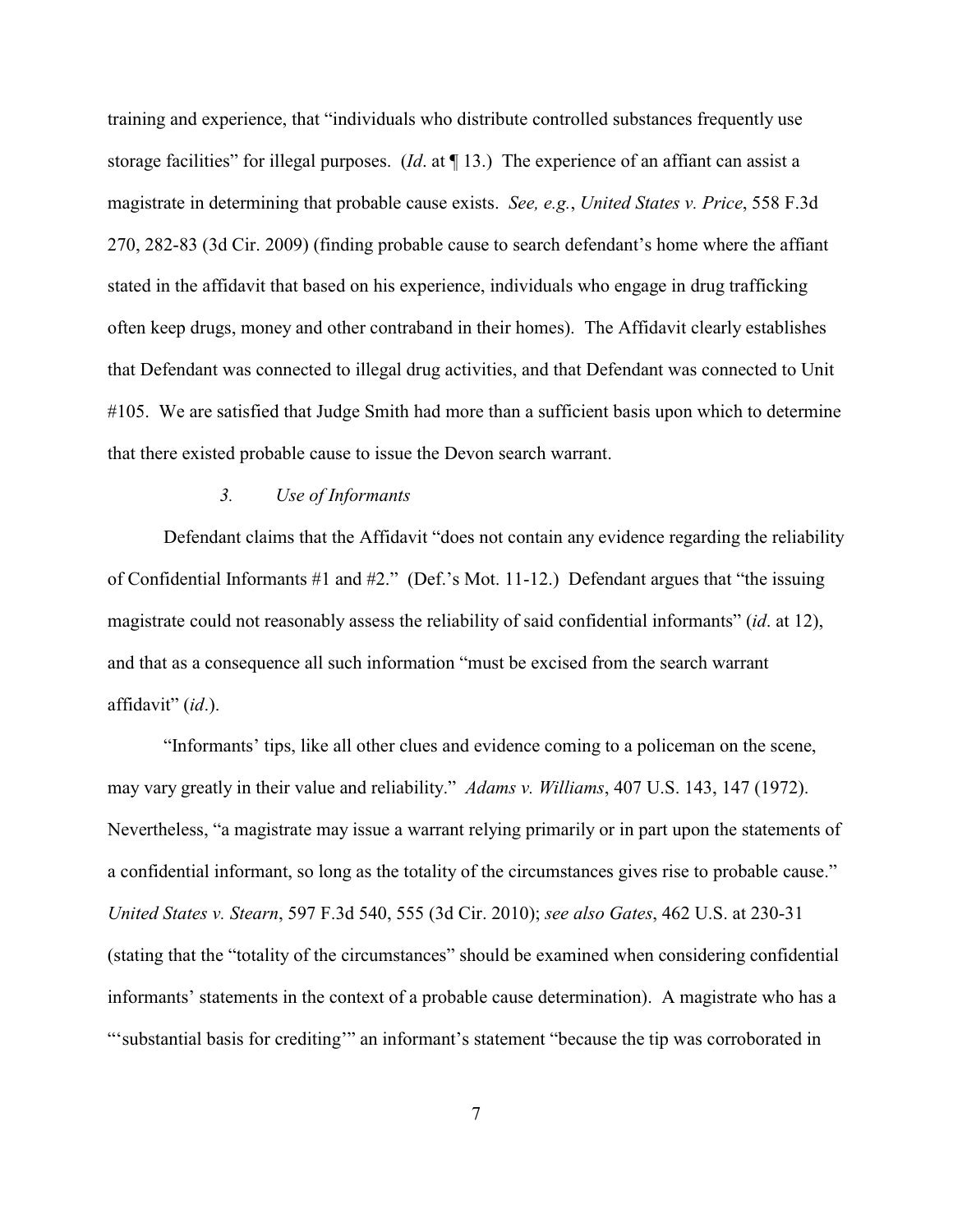training and experience, that "individuals who distribute controlled substances frequently use storage facilities" for illegal purposes. (*Id*. at ¶ 13.) The experience of an affiant can assist a magistrate in determining that probable cause exists. *See, e.g.*, *United States v. Price*, 558 F.3d 270, 282-83 (3d Cir. 2009) (finding probable cause to search defendant's home where the affiant stated in the affidavit that based on his experience, individuals who engage in drug trafficking often keep drugs, money and other contraband in their homes). The Affidavit clearly establishes that Defendant was connected to illegal drug activities, and that Defendant was connected to Unit #105. We are satisfied that Judge Smith had more than a sufficient basis upon which to determine that there existed probable cause to issue the Devon search warrant.

# *3. Use of Informants*

Defendant claims that the Affidavit "does not contain any evidence regarding the reliability of Confidential Informants #1 and #2." (Def.'s Mot. 11-12.) Defendant argues that "the issuing magistrate could not reasonably assess the reliability of said confidential informants" (*id*. at 12), and that as a consequence all such information "must be excised from the search warrant affidavit" (*id*.).

"Informants' tips, like all other clues and evidence coming to a policeman on the scene, may vary greatly in their value and reliability." *Adams v. Williams*, 407 U.S. 143, 147 (1972). Nevertheless, "a magistrate may issue a warrant relying primarily or in part upon the statements of a confidential informant, so long as the totality of the circumstances gives rise to probable cause." *United States v. Stearn*, 597 F.3d 540, 555 (3d Cir. 2010); *see also Gates*, 462 U.S. at 230-31 (stating that the "totality of the circumstances" should be examined when considering confidential informants' statements in the context of a probable cause determination). A magistrate who has a "'substantial basis for crediting'" an informant's statement "because the tip was corroborated in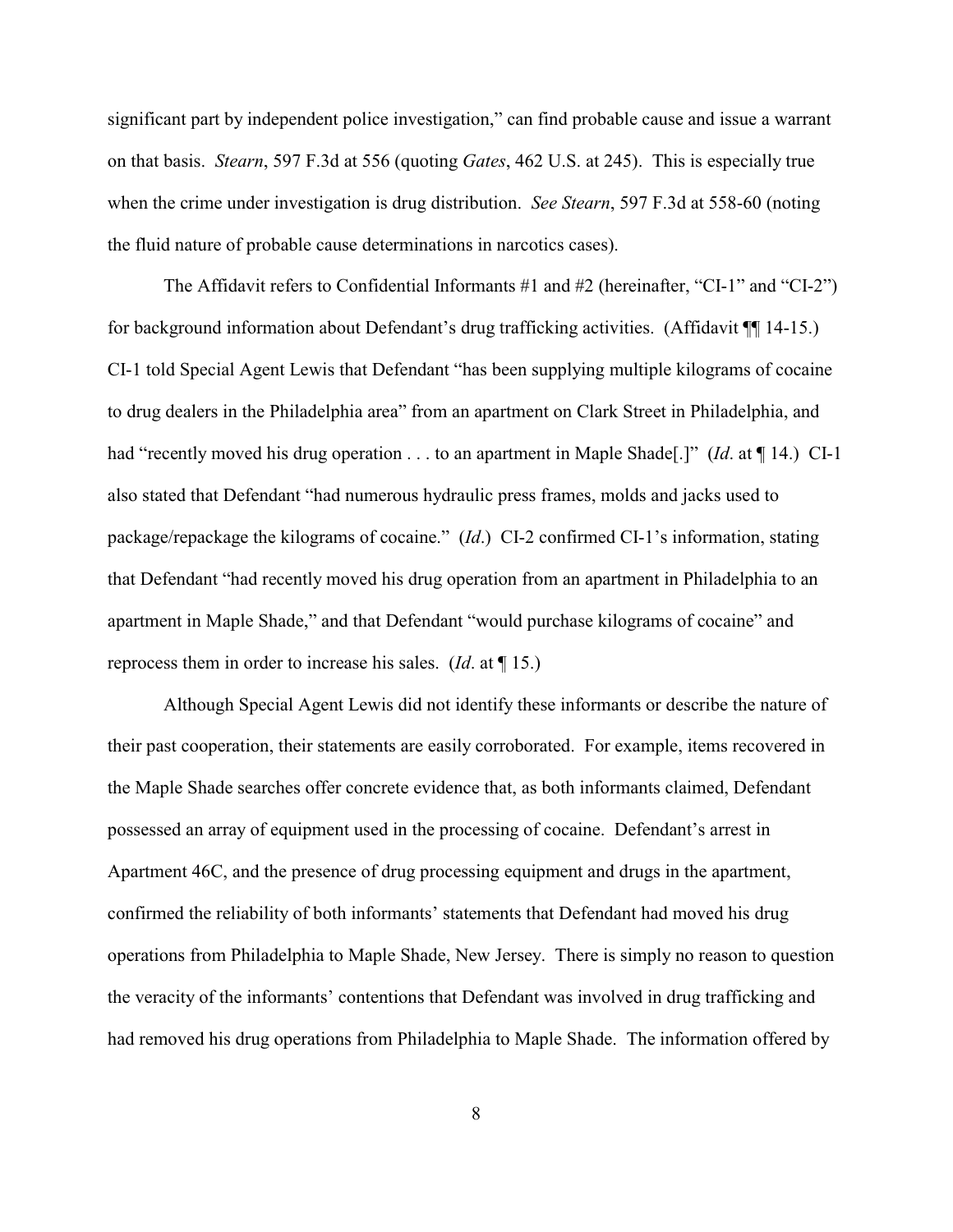significant part by independent police investigation," can find probable cause and issue a warrant on that basis. *Stearn*, 597 F.3d at 556 (quoting *Gates*, 462 U.S. at 245). This is especially true when the crime under investigation is drug distribution. *See Stearn*, 597 F.3d at 558-60 (noting the fluid nature of probable cause determinations in narcotics cases).

The Affidavit refers to Confidential Informants #1 and #2 (hereinafter, "CI-1" and "CI-2") for background information about Defendant's drug trafficking activities. (Affidavit ¶¶ 14-15.) CI-1 told Special Agent Lewis that Defendant "has been supplying multiple kilograms of cocaine to drug dealers in the Philadelphia area" from an apartment on Clark Street in Philadelphia, and had "recently moved his drug operation . . . to an apartment in Maple Shade[.]" (*Id*. at ¶ 14.) CI-1 also stated that Defendant "had numerous hydraulic press frames, molds and jacks used to package/repackage the kilograms of cocaine." (*Id*.) CI-2 confirmed CI-1's information, stating that Defendant "had recently moved his drug operation from an apartment in Philadelphia to an apartment in Maple Shade," and that Defendant "would purchase kilograms of cocaine" and reprocess them in order to increase his sales. (*Id*. at ¶ 15.)

Although Special Agent Lewis did not identify these informants or describe the nature of their past cooperation, their statements are easily corroborated. For example, items recovered in the Maple Shade searches offer concrete evidence that, as both informants claimed, Defendant possessed an array of equipment used in the processing of cocaine. Defendant's arrest in Apartment 46C, and the presence of drug processing equipment and drugs in the apartment, confirmed the reliability of both informants' statements that Defendant had moved his drug operations from Philadelphia to Maple Shade, New Jersey. There is simply no reason to question the veracity of the informants' contentions that Defendant was involved in drug trafficking and had removed his drug operations from Philadelphia to Maple Shade. The information offered by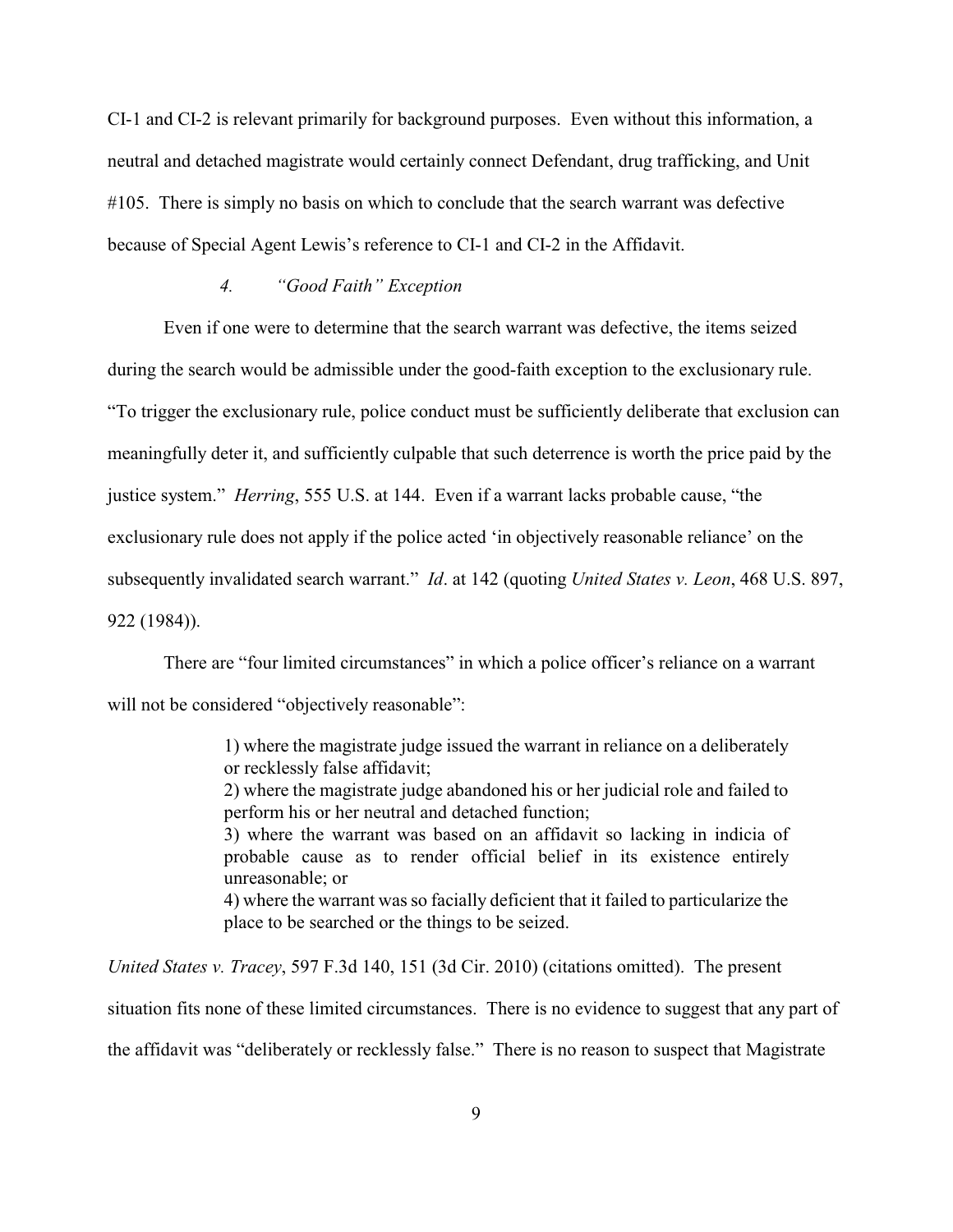CI-1 and CI-2 is relevant primarily for background purposes. Even without this information, a neutral and detached magistrate would certainly connect Defendant, drug trafficking, and Unit #105. There is simply no basis on which to conclude that the search warrant was defective because of Special Agent Lewis's reference to CI-1 and CI-2 in the Affidavit.

# *4. "Good Faith" Exception*

Even if one were to determine that the search warrant was defective, the items seized during the search would be admissible under the good-faith exception to the exclusionary rule. "To trigger the exclusionary rule, police conduct must be sufficiently deliberate that exclusion can meaningfully deter it, and sufficiently culpable that such deterrence is worth the price paid by the justice system." *Herring*, 555 U.S. at 144. Even if a warrant lacks probable cause, "the exclusionary rule does not apply if the police acted 'in objectively reasonable reliance' on the subsequently invalidated search warrant." *Id*. at 142 (quoting *United States v. Leon*, 468 U.S. 897, 922 (1984)).

There are "four limited circumstances" in which a police officer's reliance on a warrant will not be considered "objectively reasonable":

> 1) where the magistrate judge issued the warrant in reliance on a deliberately or recklessly false affidavit; 2) where the magistrate judge abandoned his or her judicial role and failed to perform his or her neutral and detached function; 3) where the warrant was based on an affidavit so lacking in indicia of probable cause as to render official belief in its existence entirely unreasonable; or 4) where the warrant was so facially deficient that it failed to particularize the place to be searched or the things to be seized.

*United States v. Tracey*, 597 F.3d 140, 151 (3d Cir. 2010) (citations omitted). The present situation fits none of these limited circumstances. There is no evidence to suggest that any part of the affidavit was "deliberately or recklessly false." There is no reason to suspect that Magistrate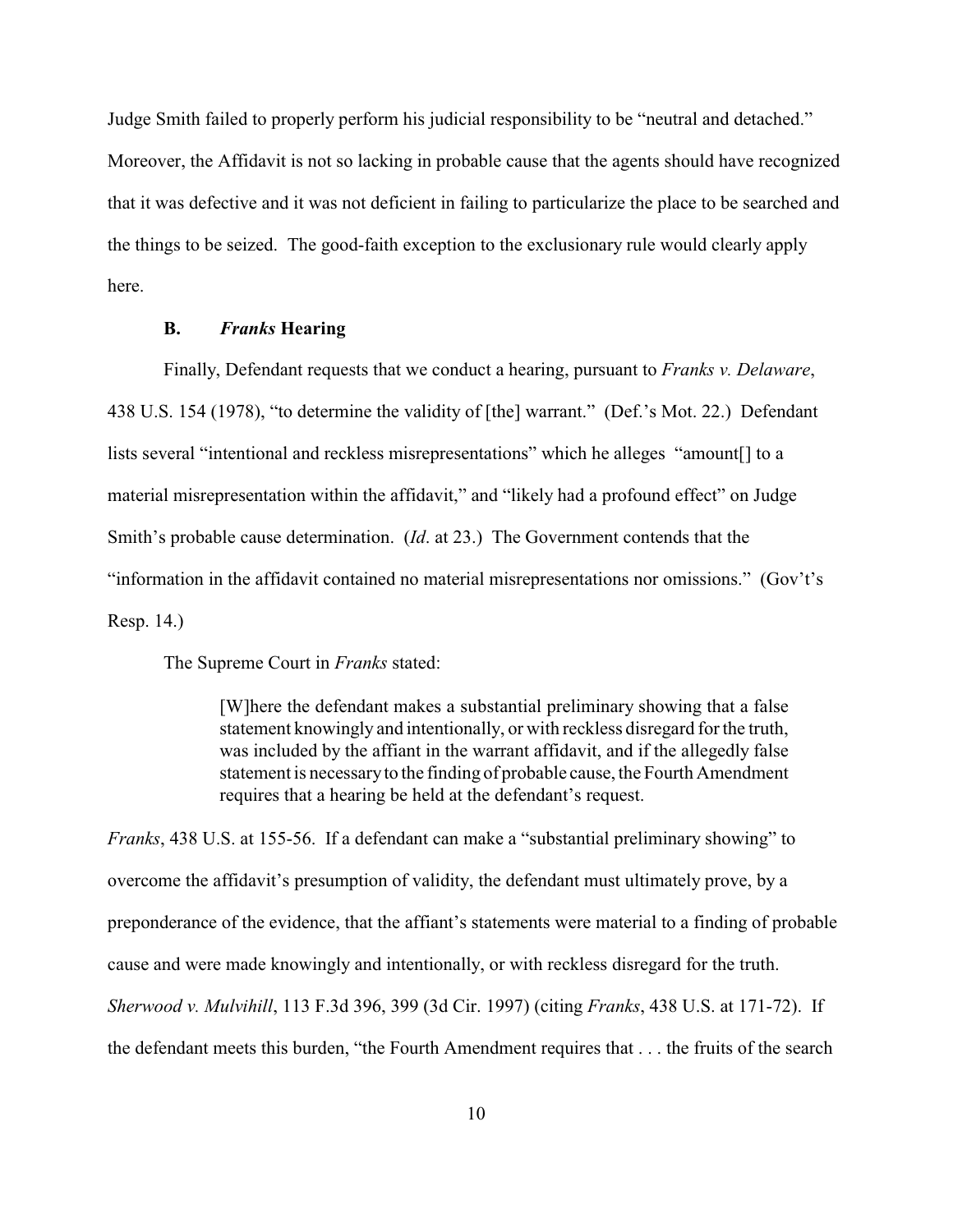Judge Smith failed to properly perform his judicial responsibility to be "neutral and detached." Moreover, the Affidavit is not so lacking in probable cause that the agents should have recognized that it was defective and it was not deficient in failing to particularize the place to be searched and the things to be seized. The good-faith exception to the exclusionary rule would clearly apply here.

## **B.** *Franks* **Hearing**

Finally, Defendant requests that we conduct a hearing, pursuant to *Franks v. Delaware*, 438 U.S. 154 (1978), "to determine the validity of [the] warrant." (Def.'s Mot. 22.) Defendant lists several "intentional and reckless misrepresentations" which he alleges "amount[] to a material misrepresentation within the affidavit," and "likely had a profound effect" on Judge Smith's probable cause determination. (*Id*. at 23.) The Government contends that the "information in the affidavit contained no material misrepresentations nor omissions." (Gov't's Resp. 14.)

The Supreme Court in *Franks* stated:

[W]here the defendant makes a substantial preliminary showing that a false statement knowingly and intentionally, or with reckless disregard for the truth, was included by the affiant in the warrant affidavit, and if the allegedly false statement is necessaryto the finding of probable cause, the Fourth Amendment requires that a hearing be held at the defendant's request.

*Franks*, 438 U.S. at 155-56. If a defendant can make a "substantial preliminary showing" to overcome the affidavit's presumption of validity, the defendant must ultimately prove, by a preponderance of the evidence, that the affiant's statements were material to a finding of probable cause and were made knowingly and intentionally, or with reckless disregard for the truth. *Sherwood v. Mulvihill*, 113 F.3d 396, 399 (3d Cir. 1997) (citing *Franks*, 438 U.S. at 171-72). If the defendant meets this burden, "the Fourth Amendment requires that . . . the fruits of the search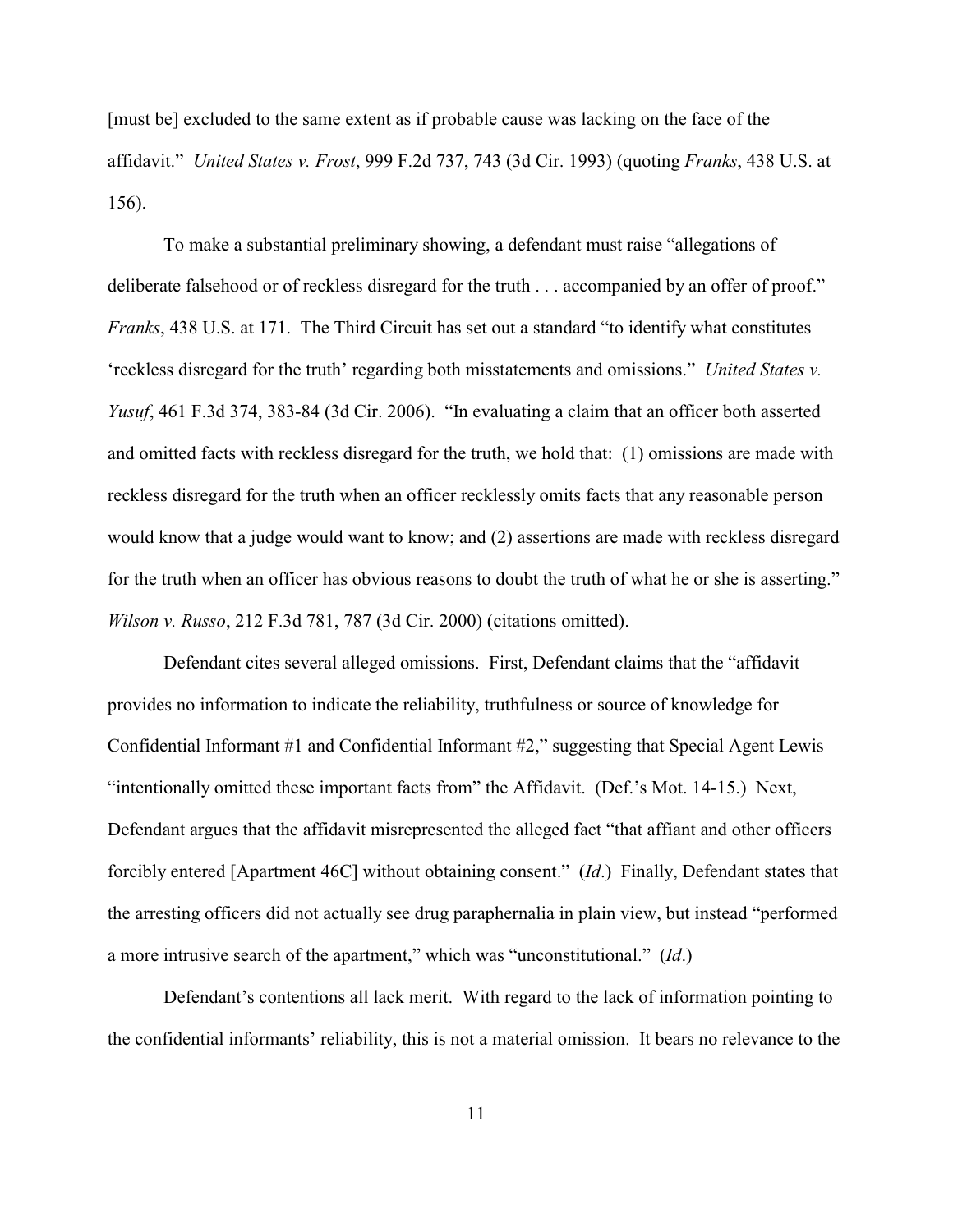[must be] excluded to the same extent as if probable cause was lacking on the face of the affidavit." *United States v. Frost*, 999 F.2d 737, 743 (3d Cir. 1993) (quoting *Franks*, 438 U.S. at 156).

To make a substantial preliminary showing, a defendant must raise "allegations of deliberate falsehood or of reckless disregard for the truth . . . accompanied by an offer of proof." *Franks*, 438 U.S. at 171. The Third Circuit has set out a standard "to identify what constitutes 'reckless disregard for the truth' regarding both misstatements and omissions." *United States v. Yusuf*, 461 F.3d 374, 383-84 (3d Cir. 2006). "In evaluating a claim that an officer both asserted and omitted facts with reckless disregard for the truth, we hold that: (1) omissions are made with reckless disregard for the truth when an officer recklessly omits facts that any reasonable person would know that a judge would want to know; and (2) assertions are made with reckless disregard for the truth when an officer has obvious reasons to doubt the truth of what he or she is asserting." *Wilson v. Russo*, 212 F.3d 781, 787 (3d Cir. 2000) (citations omitted).

Defendant cites several alleged omissions. First, Defendant claims that the "affidavit provides no information to indicate the reliability, truthfulness or source of knowledge for Confidential Informant #1 and Confidential Informant #2," suggesting that Special Agent Lewis "intentionally omitted these important facts from" the Affidavit. (Def.'s Mot. 14-15.) Next, Defendant argues that the affidavit misrepresented the alleged fact "that affiant and other officers forcibly entered [Apartment 46C] without obtaining consent." (*Id*.) Finally, Defendant states that the arresting officers did not actually see drug paraphernalia in plain view, but instead "performed a more intrusive search of the apartment," which was "unconstitutional." (*Id*.)

Defendant's contentions all lack merit. With regard to the lack of information pointing to the confidential informants' reliability, this is not a material omission. It bears no relevance to the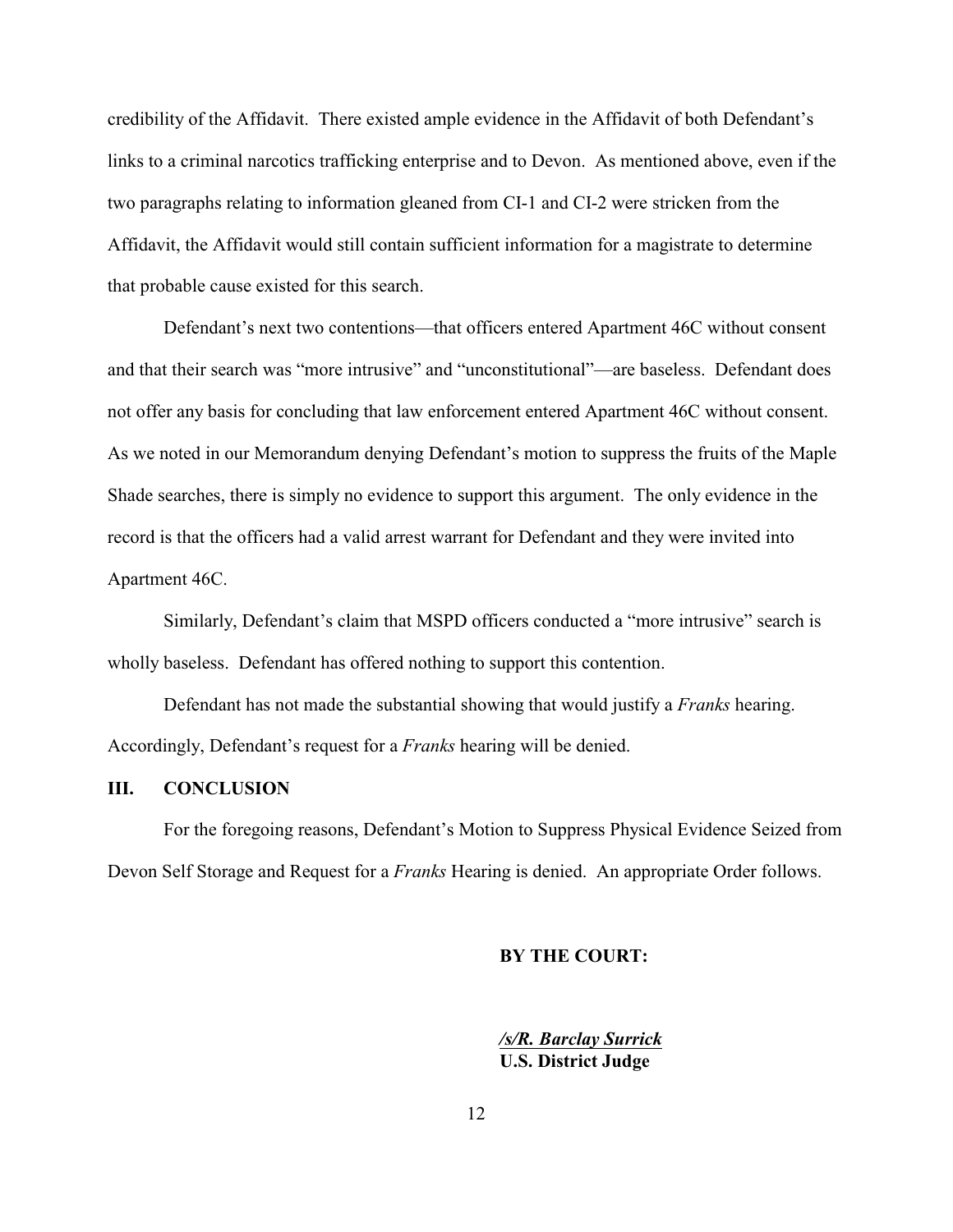credibility of the Affidavit. There existed ample evidence in the Affidavit of both Defendant's links to a criminal narcotics trafficking enterprise and to Devon. As mentioned above, even if the two paragraphs relating to information gleaned from CI-1 and CI-2 were stricken from the Affidavit, the Affidavit would still contain sufficient information for a magistrate to determine that probable cause existed for this search.

Defendant's next two contentions—that officers entered Apartment 46C without consent and that their search was "more intrusive" and "unconstitutional"—are baseless. Defendant does not offer any basis for concluding that law enforcement entered Apartment 46C without consent. As we noted in our Memorandum denying Defendant's motion to suppress the fruits of the Maple Shade searches, there is simply no evidence to support this argument. The only evidence in the record is that the officers had a valid arrest warrant for Defendant and they were invited into Apartment 46C.

Similarly, Defendant's claim that MSPD officers conducted a "more intrusive" search is wholly baseless. Defendant has offered nothing to support this contention.

Defendant has not made the substantial showing that would justify a *Franks* hearing. Accordingly, Defendant's request for a *Franks* hearing will be denied.

# **III. CONCLUSION**

For the foregoing reasons, Defendant's Motion to Suppress Physical Evidence Seized from Devon Self Storage and Request for a *Franks* Hearing is denied. An appropriate Order follows.

#### **BY THE COURT:**

*/s/R. Barclay Surrick* **U.S. District Judge**